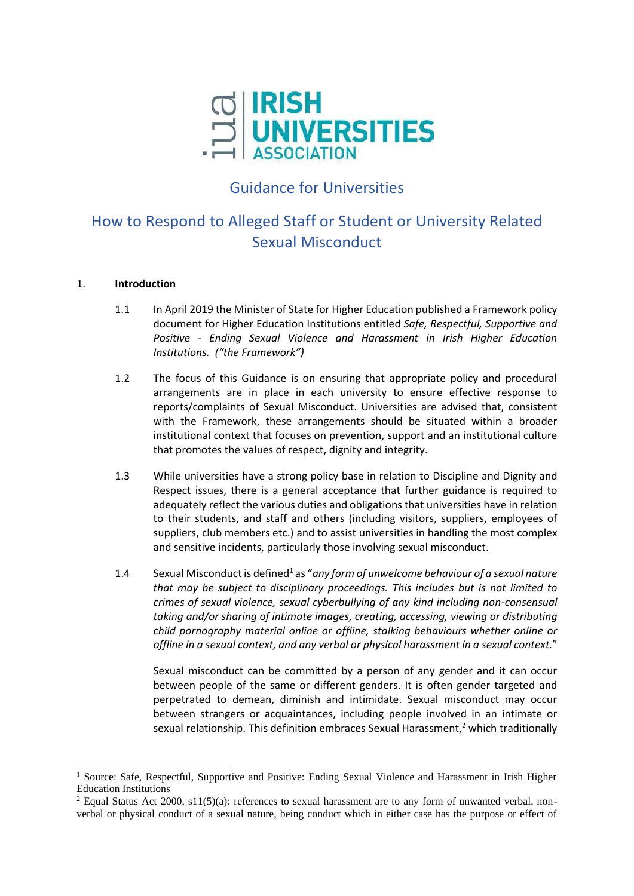

## Guidance for Universities

# How to Respond to Alleged Staff or Student or University Related Sexual Misconduct

#### 1. **Introduction**

- 1.1 In April 2019 the Minister of State for Higher Education published a Framework policy document for Higher Education Institutions entitled *Safe, Respectful, Supportive and Positive - Ending Sexual Violence and Harassment in Irish Higher Education Institutions. ("the Framework")*
- 1.2 The focus of this Guidance is on ensuring that appropriate policy and procedural arrangements are in place in each university to ensure effective response to reports/complaints of Sexual Misconduct. Universities are advised that, consistent with the Framework, these arrangements should be situated within a broader institutional context that focuses on prevention, support and an institutional culture that promotes the values of respect, dignity and integrity.
- 1.3 While universities have a strong policy base in relation to Discipline and Dignity and Respect issues, there is a general acceptance that further guidance is required to adequately reflect the various duties and obligations that universities have in relation to their students, and staff and others (including visitors, suppliers, employees of suppliers, club members etc.) and to assist universities in handling the most complex and sensitive incidents, particularly those involving sexual misconduct.
- 1.4 Sexual Misconduct is defined<sup>1</sup> as "any form of unwelcome behaviour of a sexual nature *that may be subject to disciplinary proceedings. This includes but is not limited to crimes of sexual violence, sexual cyberbullying of any kind including non-consensual taking and/or sharing of intimate images, creating, accessing, viewing or distributing child pornography material online or offline, stalking behaviours whether online or offline in a sexual context, and any verbal or physical harassment in a sexual context.*"

Sexual misconduct can be committed by a person of any gender and it can occur between people of the same or different genders. It is often gender targeted and perpetrated to demean, diminish and intimidate. Sexual misconduct may occur between strangers or acquaintances, including people involved in an intimate or sexual relationship. This definition embraces Sexual Harassment.<sup>2</sup> which traditionally

<sup>&</sup>lt;sup>1</sup> Source: Safe, Respectful, Supportive and Positive: Ending Sexual Violence and Harassment in Irish Higher Education Institutions

<sup>&</sup>lt;sup>2</sup> Equal Status Act 2000, s11(5)(a): references to sexual harassment are to any form of unwanted verbal, nonverbal or physical conduct of a sexual nature, being conduct which in either case has the purpose or effect of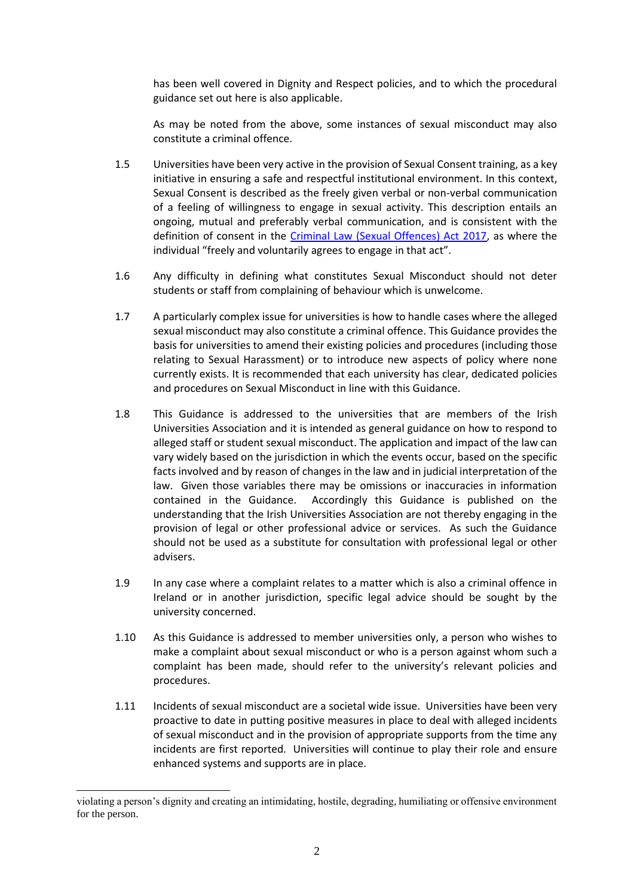has been well covered in Dignity and Respect policies, and to which the procedural guidance set out here is also applicable.

As may be noted from the above, some instances of sexual misconduct may also constitute a criminal offence.

- 1.5 Universities have been very active in the provision of Sexual Consent training, as a key initiative in ensuring a safe and respectful institutional environment. In this context, Sexual Consent is described as the freely given verbal or non-verbal communication of a feeling of willingness to engage in sexual activity. This description entails an ongoing, mutual and preferably verbal communication, and is consistent with the definition of consent in the [Criminal Law \(Sexual Offences\) Act 2017,](http://www.irishstatutebook.ie/eli/2017/act/2/section/48/enacted/en/html#sec48) as where the individual "freely and voluntarily agrees to engage in that act".
- 1.6 Any difficulty in defining what constitutes Sexual Misconduct should not deter students or staff from complaining of behaviour which is unwelcome.
- 1.7 A particularly complex issue for universities is how to handle cases where the alleged sexual misconduct may also constitute a criminal offence. This Guidance provides the basis for universities to amend their existing policies and procedures (including those relating to Sexual Harassment) or to introduce new aspects of policy where none currently exists. It is recommended that each university has clear, dedicated policies and procedures on Sexual Misconduct in line with this Guidance.
- 1.8 This Guidance is addressed to the universities that are members of the Irish Universities Association and it is intended as general guidance on how to respond to alleged staff or student sexual misconduct. The application and impact of the law can vary widely based on the jurisdiction in which the events occur, based on the specific facts involved and by reason of changes in the law and in judicial interpretation of the law. Given those variables there may be omissions or inaccuracies in information contained in the Guidance. Accordingly this Guidance is published on the understanding that the Irish Universities Association are not thereby engaging in the provision of legal or other professional advice or services. As such the Guidance should not be used as a substitute for consultation with professional legal or other advisers.
- 1.9 In any case where a complaint relates to a matter which is also a criminal offence in Ireland or in another jurisdiction, specific legal advice should be sought by the university concerned.
- 1.10 As this Guidance is addressed to member universities only, a person who wishes to make a complaint about sexual misconduct or who is a person against whom such a complaint has been made, should refer to the university's relevant policies and procedures.
- 1.11 Incidents of sexual misconduct are a societal wide issue. Universities have been very proactive to date in putting positive measures in place to deal with alleged incidents of sexual misconduct and in the provision of appropriate supports from the time any incidents are first reported. Universities will continue to play their role and ensure enhanced systems and supports are in place.

violating a person's dignity and creating an intimidating, hostile, degrading, humiliating or offensive environment for the person.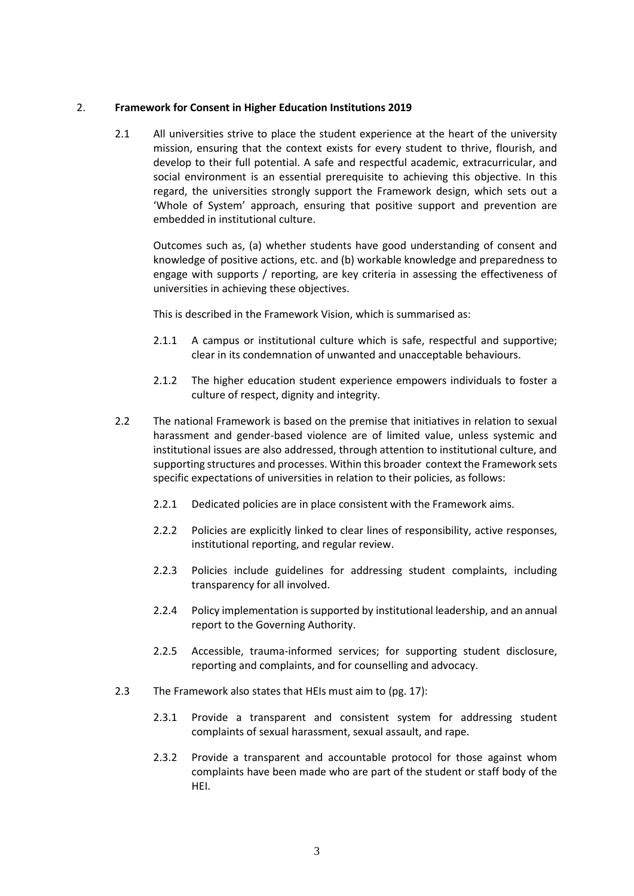#### 2. **Framework for Consent in Higher Education Institutions 2019**

2.1 All universities strive to place the student experience at the heart of the university mission, ensuring that the context exists for every student to thrive, flourish, and develop to their full potential. A safe and respectful academic, extracurricular, and social environment is an essential prerequisite to achieving this objective. In this regard, the universities strongly support the Framework design, which sets out a 'Whole of System' approach, ensuring that positive support and prevention are embedded in institutional culture.

Outcomes such as, (a) whether students have good understanding of consent and knowledge of positive actions, etc. and (b) workable knowledge and preparedness to engage with supports / reporting, are key criteria in assessing the effectiveness of universities in achieving these objectives.

This is described in the Framework Vision, which is summarised as:

- 2.1.1 A campus or institutional culture which is safe, respectful and supportive; clear in its condemnation of unwanted and unacceptable behaviours.
- 2.1.2 The higher education student experience empowers individuals to foster a culture of respect, dignity and integrity.
- 2.2 The national Framework is based on the premise that initiatives in relation to sexual harassment and gender-based violence are of limited value, unless systemic and institutional issues are also addressed, through attention to institutional culture, and supporting structures and processes. Within this broader context the Framework sets specific expectations of universities in relation to their policies, as follows:
	- 2.2.1 Dedicated policies are in place consistent with the Framework aims.
	- 2.2.2 Policies are explicitly linked to clear lines of responsibility, active responses, institutional reporting, and regular review.
	- 2.2.3 Policies include guidelines for addressing student complaints, including transparency for all involved.
	- 2.2.4 Policy implementation is supported by institutional leadership, and an annual report to the Governing Authority.
	- 2.2.5 Accessible, trauma-informed services; for supporting student disclosure, reporting and complaints, and for counselling and advocacy.
- 2.3 The Framework also states that HEIs must aim to (pg. 17):
	- 2.3.1 Provide a transparent and consistent system for addressing student complaints of sexual harassment, sexual assault, and rape.
	- 2.3.2 Provide a transparent and accountable protocol for those against whom complaints have been made who are part of the student or staff body of the HEI.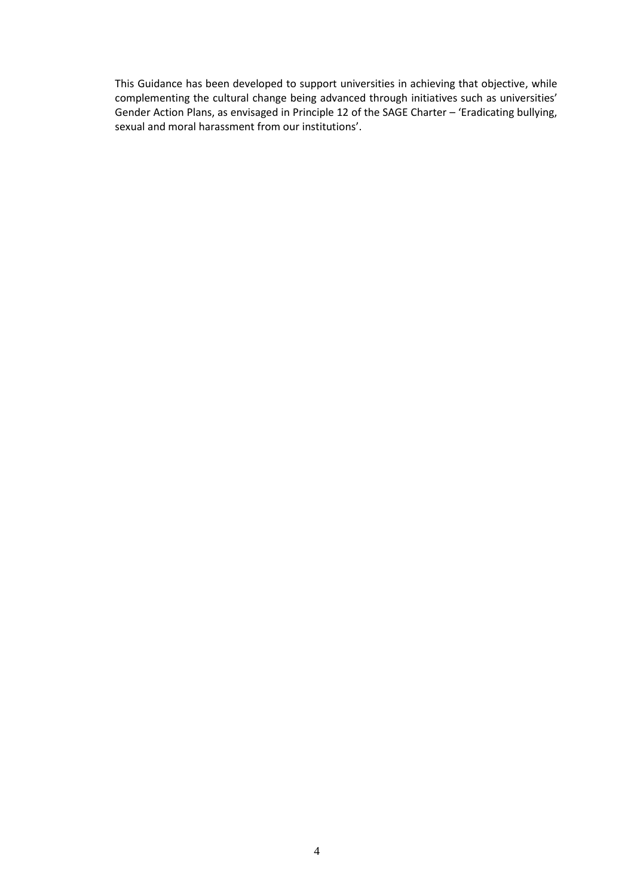This Guidance has been developed to support universities in achieving that objective, while complementing the cultural change being advanced through initiatives such as universities' Gender Action Plans, as envisaged in Principle 12 of the SAGE Charter – 'Eradicating bullying, sexual and moral harassment from our institutions'.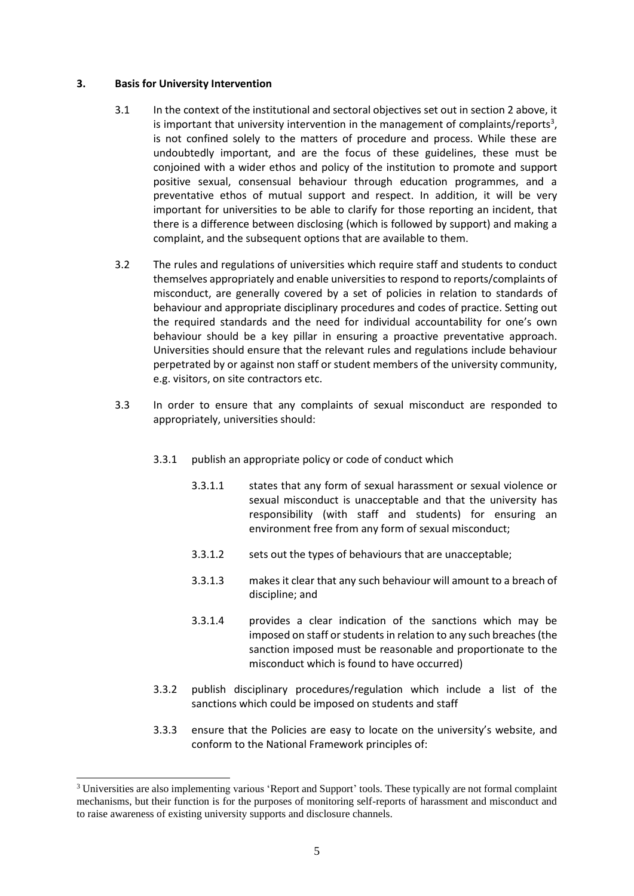#### **3. Basis for University Intervention**

- 3.1 In the context of the institutional and sectoral objectives set out in section 2 above, it is important that university intervention in the management of complaints/reports<sup>3</sup>, is not confined solely to the matters of procedure and process. While these are undoubtedly important, and are the focus of these guidelines, these must be conjoined with a wider ethos and policy of the institution to promote and support positive sexual, consensual behaviour through education programmes, and a preventative ethos of mutual support and respect. In addition, it will be very important for universities to be able to clarify for those reporting an incident, that there is a difference between disclosing (which is followed by support) and making a complaint, and the subsequent options that are available to them.
- 3.2 The rules and regulations of universities which require staff and students to conduct themselves appropriately and enable universities to respond to reports/complaints of misconduct, are generally covered by a set of policies in relation to standards of behaviour and appropriate disciplinary procedures and codes of practice. Setting out the required standards and the need for individual accountability for one's own behaviour should be a key pillar in ensuring a proactive preventative approach. Universities should ensure that the relevant rules and regulations include behaviour perpetrated by or against non staff or student members of the university community, e.g. visitors, on site contractors etc.
- 3.3 In order to ensure that any complaints of sexual misconduct are responded to appropriately, universities should:
	- 3.3.1 publish an appropriate policy or code of conduct which
		- 3.3.1.1 states that any form of sexual harassment or sexual violence or sexual misconduct is unacceptable and that the university has responsibility (with staff and students) for ensuring an environment free from any form of sexual misconduct;
		- 3.3.1.2 sets out the types of behaviours that are unacceptable;
		- 3.3.1.3 makes it clear that any such behaviour will amount to a breach of discipline; and
		- 3.3.1.4 provides a clear indication of the sanctions which may be imposed on staff or students in relation to any such breaches (the sanction imposed must be reasonable and proportionate to the misconduct which is found to have occurred)
	- 3.3.2 publish disciplinary procedures/regulation which include a list of the sanctions which could be imposed on students and staff
	- 3.3.3 ensure that the Policies are easy to locate on the university's website, and conform to the National Framework principles of:

<sup>&</sup>lt;sup>3</sup> Universities are also implementing various 'Report and Support' tools. These typically are not formal complaint mechanisms, but their function is for the purposes of monitoring self-reports of harassment and misconduct and to raise awareness of existing university supports and disclosure channels.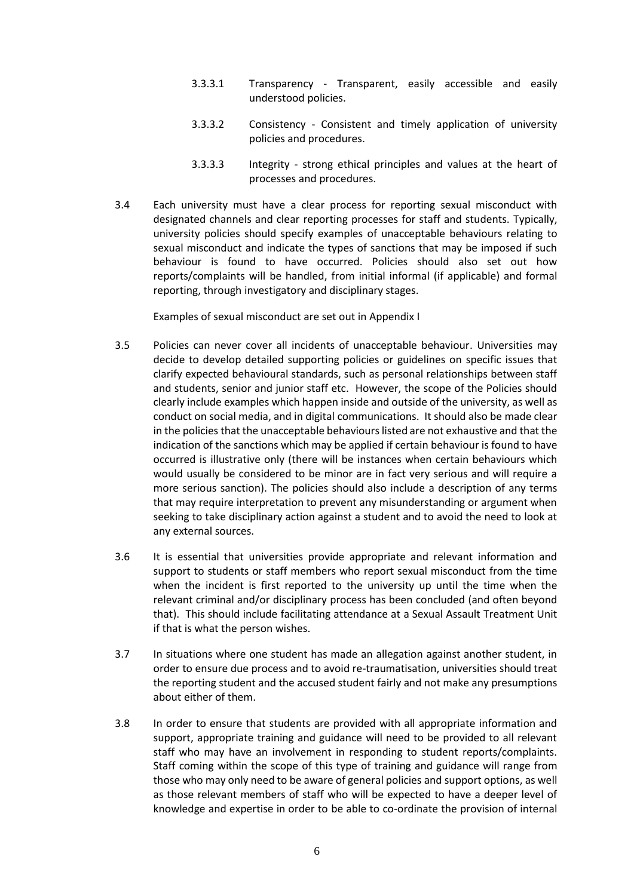- 3.3.3.1 Transparency Transparent, easily accessible and easily understood policies.
- 3.3.3.2 Consistency Consistent and timely application of university policies and procedures.
- 3.3.3.3 Integrity strong ethical principles and values at the heart of processes and procedures.
- 3.4 Each university must have a clear process for reporting sexual misconduct with designated channels and clear reporting processes for staff and students. Typically, university policies should specify examples of unacceptable behaviours relating to sexual misconduct and indicate the types of sanctions that may be imposed if such behaviour is found to have occurred. Policies should also set out how reports/complaints will be handled, from initial informal (if applicable) and formal reporting, through investigatory and disciplinary stages.

Examples of sexual misconduct are set out in Appendix I

- 3.5 Policies can never cover all incidents of unacceptable behaviour. Universities may decide to develop detailed supporting policies or guidelines on specific issues that clarify expected behavioural standards, such as personal relationships between staff and students, senior and junior staff etc. However, the scope of the Policies should clearly include examples which happen inside and outside of the university, as well as conduct on social media, and in digital communications. It should also be made clear in the policies that the unacceptable behaviours listed are not exhaustive and that the indication of the sanctions which may be applied if certain behaviour is found to have occurred is illustrative only (there will be instances when certain behaviours which would usually be considered to be minor are in fact very serious and will require a more serious sanction). The policies should also include a description of any terms that may require interpretation to prevent any misunderstanding or argument when seeking to take disciplinary action against a student and to avoid the need to look at any external sources.
- 3.6 It is essential that universities provide appropriate and relevant information and support to students or staff members who report sexual misconduct from the time when the incident is first reported to the university up until the time when the relevant criminal and/or disciplinary process has been concluded (and often beyond that). This should include facilitating attendance at a Sexual Assault Treatment Unit if that is what the person wishes.
- 3.7 In situations where one student has made an allegation against another student, in order to ensure due process and to avoid re-traumatisation, universities should treat the reporting student and the accused student fairly and not make any presumptions about either of them.
- 3.8 In order to ensure that students are provided with all appropriate information and support, appropriate training and guidance will need to be provided to all relevant staff who may have an involvement in responding to student reports/complaints. Staff coming within the scope of this type of training and guidance will range from those who may only need to be aware of general policies and support options, as well as those relevant members of staff who will be expected to have a deeper level of knowledge and expertise in order to be able to co-ordinate the provision of internal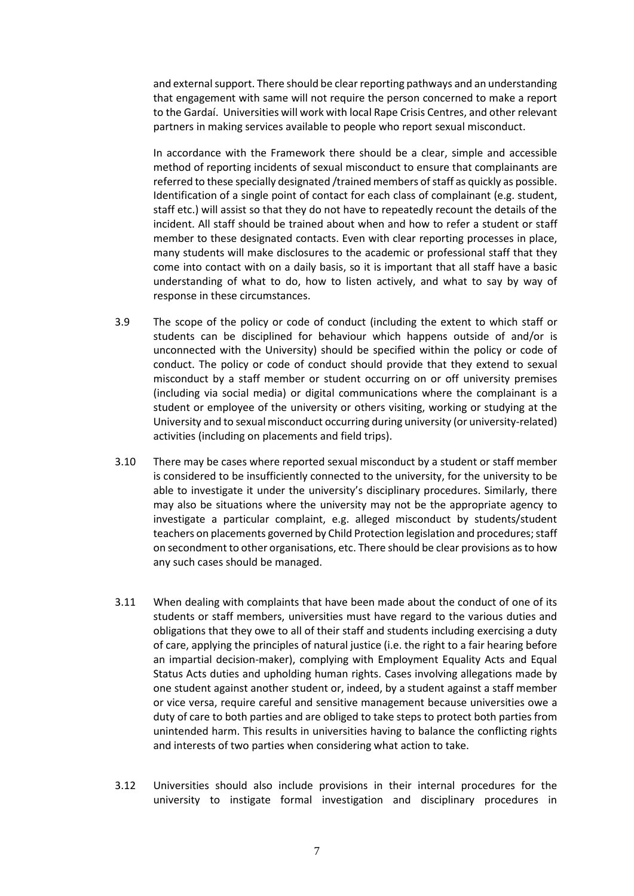and external support. There should be clear reporting pathways and an understanding that engagement with same will not require the person concerned to make a report to the Gardaí. Universities will work with local Rape Crisis Centres, and other relevant partners in making services available to people who report sexual misconduct.

In accordance with the Framework there should be a clear, simple and accessible method of reporting incidents of sexual misconduct to ensure that complainants are referred to these specially designated /trained members of staff as quickly as possible. Identification of a single point of contact for each class of complainant (e.g. student, staff etc.) will assist so that they do not have to repeatedly recount the details of the incident. All staff should be trained about when and how to refer a student or staff member to these designated contacts. Even with clear reporting processes in place, many students will make disclosures to the academic or professional staff that they come into contact with on a daily basis, so it is important that all staff have a basic understanding of what to do, how to listen actively, and what to say by way of response in these circumstances.

- 3.9 The scope of the policy or code of conduct (including the extent to which staff or students can be disciplined for behaviour which happens outside of and/or is unconnected with the University) should be specified within the policy or code of conduct. The policy or code of conduct should provide that they extend to sexual misconduct by a staff member or student occurring on or off university premises (including via social media) or digital communications where the complainant is a student or employee of the university or others visiting, working or studying at the University and to sexual misconduct occurring during university (or university-related) activities (including on placements and field trips).
- 3.10 There may be cases where reported sexual misconduct by a student or staff member is considered to be insufficiently connected to the university, for the university to be able to investigate it under the university's disciplinary procedures. Similarly, there may also be situations where the university may not be the appropriate agency to investigate a particular complaint, e.g. alleged misconduct by students/student teachers on placements governed by Child Protection legislation and procedures; staff on secondment to other organisations, etc. There should be clear provisions as to how any such cases should be managed.
- 3.11 When dealing with complaints that have been made about the conduct of one of its students or staff members, universities must have regard to the various duties and obligations that they owe to all of their staff and students including exercising a duty of care, applying the principles of natural justice (i.e. the right to a fair hearing before an impartial decision-maker), complying with Employment Equality Acts and Equal Status Acts duties and upholding human rights. Cases involving allegations made by one student against another student or, indeed, by a student against a staff member or vice versa, require careful and sensitive management because universities owe a duty of care to both parties and are obliged to take steps to protect both parties from unintended harm. This results in universities having to balance the conflicting rights and interests of two parties when considering what action to take.
- 3.12 Universities should also include provisions in their internal procedures for the university to instigate formal investigation and disciplinary procedures in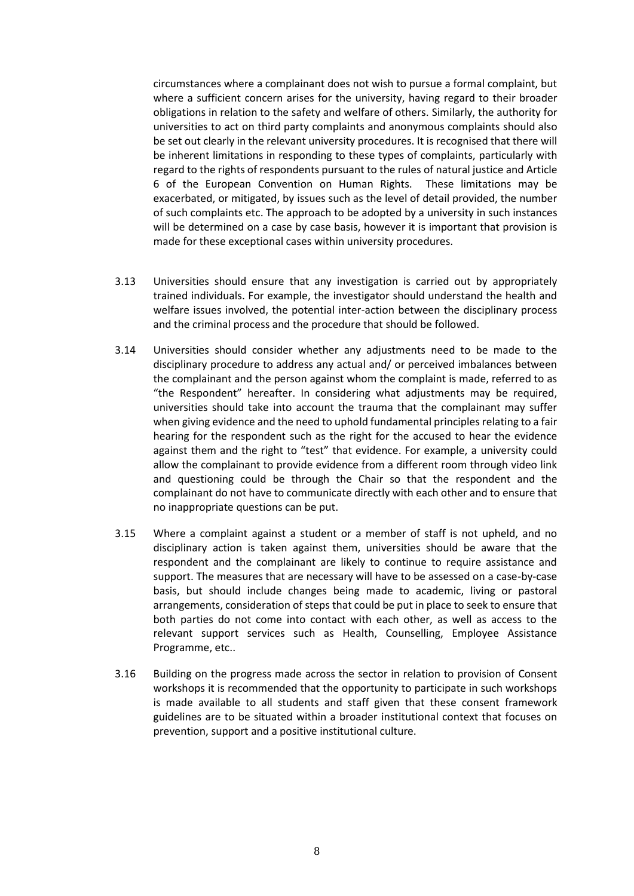circumstances where a complainant does not wish to pursue a formal complaint, but where a sufficient concern arises for the university, having regard to their broader obligations in relation to the safety and welfare of others. Similarly, the authority for universities to act on third party complaints and anonymous complaints should also be set out clearly in the relevant university procedures. It is recognised that there will be inherent limitations in responding to these types of complaints, particularly with regard to the rights of respondents pursuant to the rules of natural justice and Article 6 of the European Convention on Human Rights. These limitations may be exacerbated, or mitigated, by issues such as the level of detail provided, the number of such complaints etc. The approach to be adopted by a university in such instances will be determined on a case by case basis, however it is important that provision is made for these exceptional cases within university procedures.

- 3.13 Universities should ensure that any investigation is carried out by appropriately trained individuals. For example, the investigator should understand the health and welfare issues involved, the potential inter-action between the disciplinary process and the criminal process and the procedure that should be followed.
- 3.14 Universities should consider whether any adjustments need to be made to the disciplinary procedure to address any actual and/ or perceived imbalances between the complainant and the person against whom the complaint is made, referred to as "the Respondent" hereafter. In considering what adjustments may be required, universities should take into account the trauma that the complainant may suffer when giving evidence and the need to uphold fundamental principles relating to a fair hearing for the respondent such as the right for the accused to hear the evidence against them and the right to "test" that evidence. For example, a university could allow the complainant to provide evidence from a different room through video link and questioning could be through the Chair so that the respondent and the complainant do not have to communicate directly with each other and to ensure that no inappropriate questions can be put.
- 3.15 Where a complaint against a student or a member of staff is not upheld, and no disciplinary action is taken against them, universities should be aware that the respondent and the complainant are likely to continue to require assistance and support. The measures that are necessary will have to be assessed on a case-by-case basis, but should include changes being made to academic, living or pastoral arrangements, consideration of steps that could be put in place to seek to ensure that both parties do not come into contact with each other, as well as access to the relevant support services such as Health, Counselling, Employee Assistance Programme, etc..
- 3.16 Building on the progress made across the sector in relation to provision of Consent workshops it is recommended that the opportunity to participate in such workshops is made available to all students and staff given that these consent framework guidelines are to be situated within a broader institutional context that focuses on prevention, support and a positive institutional culture.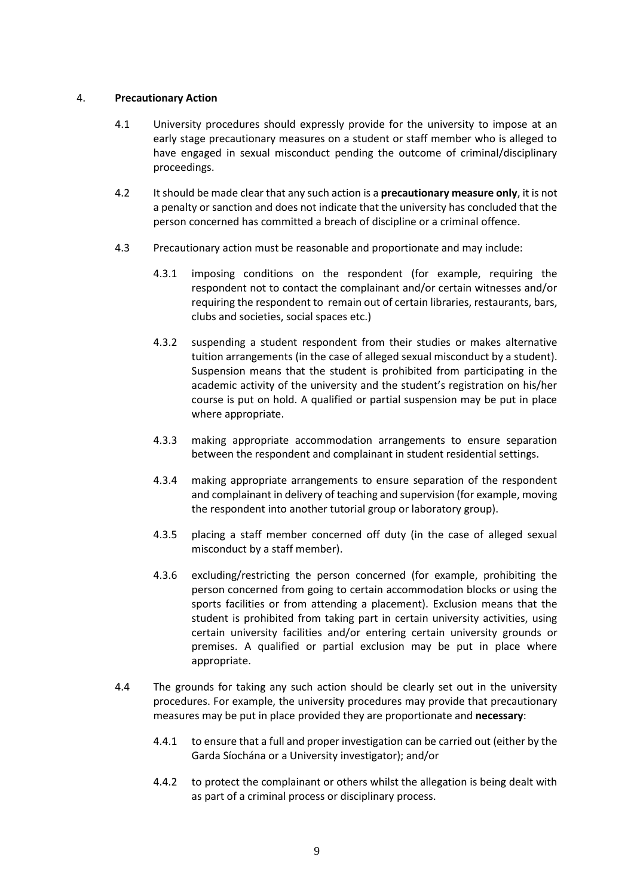#### 4. **Precautionary Action**

- 4.1 University procedures should expressly provide for the university to impose at an early stage precautionary measures on a student or staff member who is alleged to have engaged in sexual misconduct pending the outcome of criminal/disciplinary proceedings.
- 4.2 It should be made clear that any such action is a **precautionary measure only**, it is not a penalty or sanction and does not indicate that the university has concluded that the person concerned has committed a breach of discipline or a criminal offence.
- 4.3 Precautionary action must be reasonable and proportionate and may include:
	- 4.3.1 imposing conditions on the respondent (for example, requiring the respondent not to contact the complainant and/or certain witnesses and/or requiring the respondent to remain out of certain libraries, restaurants, bars, clubs and societies, social spaces etc.)
	- 4.3.2 suspending a student respondent from their studies or makes alternative tuition arrangements (in the case of alleged sexual misconduct by a student). Suspension means that the student is prohibited from participating in the academic activity of the university and the student's registration on his/her course is put on hold. A qualified or partial suspension may be put in place where appropriate.
	- 4.3.3 making appropriate accommodation arrangements to ensure separation between the respondent and complainant in student residential settings.
	- 4.3.4 making appropriate arrangements to ensure separation of the respondent and complainant in delivery of teaching and supervision (for example, moving the respondent into another tutorial group or laboratory group).
	- 4.3.5 placing a staff member concerned off duty (in the case of alleged sexual misconduct by a staff member).
	- 4.3.6 excluding/restricting the person concerned (for example, prohibiting the person concerned from going to certain accommodation blocks or using the sports facilities or from attending a placement). Exclusion means that the student is prohibited from taking part in certain university activities, using certain university facilities and/or entering certain university grounds or premises. A qualified or partial exclusion may be put in place where appropriate.
- 4.4 The grounds for taking any such action should be clearly set out in the university procedures. For example, the university procedures may provide that precautionary measures may be put in place provided they are proportionate and **necessary**:
	- 4.4.1 to ensure that a full and proper investigation can be carried out (either by the Garda Síochána or a University investigator); and/or
	- 4.4.2 to protect the complainant or others whilst the allegation is being dealt with as part of a criminal process or disciplinary process.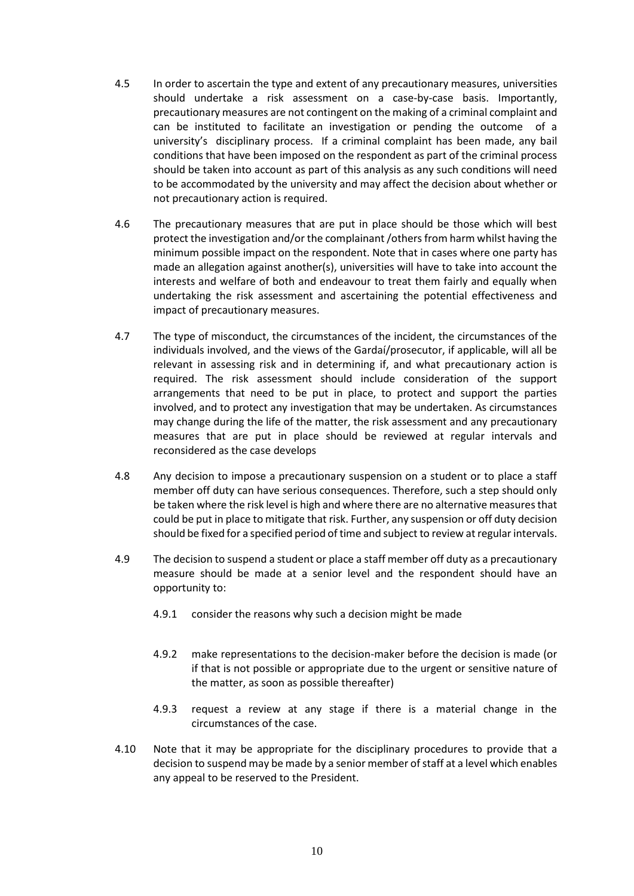- 4.5 In order to ascertain the type and extent of any precautionary measures, universities should undertake a risk assessment on a case-by-case basis. Importantly, precautionary measures are not contingent on the making of a criminal complaint and can be instituted to facilitate an investigation or pending the outcome of a university's disciplinary process. If a criminal complaint has been made, any bail conditions that have been imposed on the respondent as part of the criminal process should be taken into account as part of this analysis as any such conditions will need to be accommodated by the university and may affect the decision about whether or not precautionary action is required.
- 4.6 The precautionary measures that are put in place should be those which will best protect the investigation and/or the complainant /others from harm whilst having the minimum possible impact on the respondent. Note that in cases where one party has made an allegation against another(s), universities will have to take into account the interests and welfare of both and endeavour to treat them fairly and equally when undertaking the risk assessment and ascertaining the potential effectiveness and impact of precautionary measures.
- 4.7 The type of misconduct, the circumstances of the incident, the circumstances of the individuals involved, and the views of the Gardaí/prosecutor, if applicable, will all be relevant in assessing risk and in determining if, and what precautionary action is required. The risk assessment should include consideration of the support arrangements that need to be put in place, to protect and support the parties involved, and to protect any investigation that may be undertaken. As circumstances may change during the life of the matter, the risk assessment and any precautionary measures that are put in place should be reviewed at regular intervals and reconsidered as the case develops
- 4.8 Any decision to impose a precautionary suspension on a student or to place a staff member off duty can have serious consequences. Therefore, such a step should only be taken where the risk level is high and where there are no alternative measures that could be put in place to mitigate that risk. Further, any suspension or off duty decision should be fixed for a specified period of time and subject to review at regular intervals.
- 4.9 The decision to suspend a student or place a staff member off duty as a precautionary measure should be made at a senior level and the respondent should have an opportunity to:
	- 4.9.1 consider the reasons why such a decision might be made
	- 4.9.2 make representations to the decision-maker before the decision is made (or if that is not possible or appropriate due to the urgent or sensitive nature of the matter, as soon as possible thereafter)
	- 4.9.3 request a review at any stage if there is a material change in the circumstances of the case.
- 4.10 Note that it may be appropriate for the disciplinary procedures to provide that a decision to suspend may be made by a senior member of staff at a level which enables any appeal to be reserved to the President.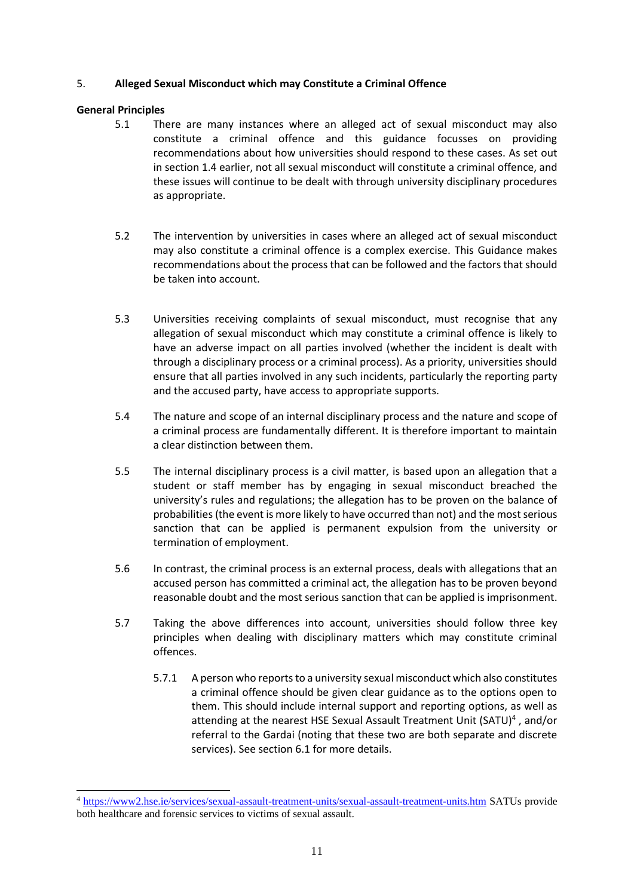#### 5. **Alleged Sexual Misconduct which may Constitute a Criminal Offence**

#### **General Principles**

- 5.1 There are many instances where an alleged act of sexual misconduct may also constitute a criminal offence and this guidance focusses on providing recommendations about how universities should respond to these cases. As set out in section 1.4 earlier, not all sexual misconduct will constitute a criminal offence, and these issues will continue to be dealt with through university disciplinary procedures as appropriate.
- 5.2 The intervention by universities in cases where an alleged act of sexual misconduct may also constitute a criminal offence is a complex exercise. This Guidance makes recommendations about the process that can be followed and the factors that should be taken into account.
- 5.3 Universities receiving complaints of sexual misconduct, must recognise that any allegation of sexual misconduct which may constitute a criminal offence is likely to have an adverse impact on all parties involved (whether the incident is dealt with through a disciplinary process or a criminal process). As a priority, universities should ensure that all parties involved in any such incidents, particularly the reporting party and the accused party, have access to appropriate supports.
- 5.4 The nature and scope of an internal disciplinary process and the nature and scope of a criminal process are fundamentally different. It is therefore important to maintain a clear distinction between them.
- 5.5 The internal disciplinary process is a civil matter, is based upon an allegation that a student or staff member has by engaging in sexual misconduct breached the university's rules and regulations; the allegation has to be proven on the balance of probabilities (the event is more likely to have occurred than not) and the most serious sanction that can be applied is permanent expulsion from the university or termination of employment.
- 5.6 In contrast, the criminal process is an external process, deals with allegations that an accused person has committed a criminal act, the allegation has to be proven beyond reasonable doubt and the most serious sanction that can be applied is imprisonment.
- 5.7 Taking the above differences into account, universities should follow three key principles when dealing with disciplinary matters which may constitute criminal offences.
	- 5.7.1 A person who reports to a university sexual misconduct which also constitutes a criminal offence should be given clear guidance as to the options open to them. This should include internal support and reporting options, as well as attending at the nearest HSE Sexual Assault Treatment Unit (SATU)<sup>4</sup>, and/or referral to the Gardai (noting that these two are both separate and discrete services). See section 6.1 for more details.

<sup>4</sup> <https://www2.hse.ie/services/sexual-assault-treatment-units/sexual-assault-treatment-units.htm> SATUs provide both healthcare and forensic services to victims of sexual assault.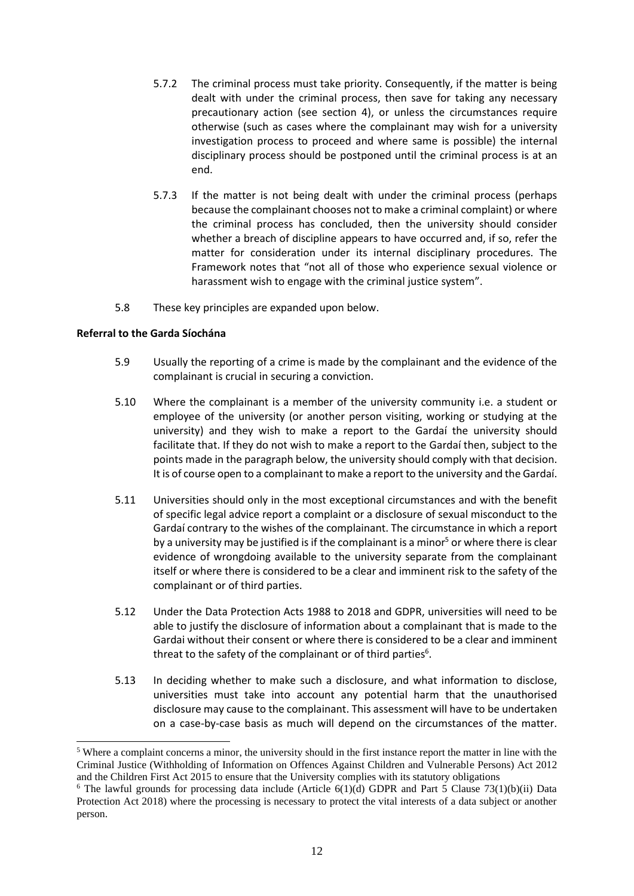- 5.7.2 The criminal process must take priority. Consequently, if the matter is being dealt with under the criminal process, then save for taking any necessary precautionary action (see section 4), or unless the circumstances require otherwise (such as cases where the complainant may wish for a university investigation process to proceed and where same is possible) the internal disciplinary process should be postponed until the criminal process is at an end.
- 5.7.3 If the matter is not being dealt with under the criminal process (perhaps because the complainant chooses not to make a criminal complaint) or where the criminal process has concluded, then the university should consider whether a breach of discipline appears to have occurred and, if so, refer the matter for consideration under its internal disciplinary procedures. The Framework notes that "not all of those who experience sexual violence or harassment wish to engage with the criminal justice system".
- 5.8 These key principles are expanded upon below.

#### **Referral to the Garda Síochána**

- 5.9 Usually the reporting of a crime is made by the complainant and the evidence of the complainant is crucial in securing a conviction.
- 5.10 Where the complainant is a member of the university community i.e. a student or employee of the university (or another person visiting, working or studying at the university) and they wish to make a report to the Gardaí the university should facilitate that. If they do not wish to make a report to the Gardaí then, subject to the points made in the paragraph below, the university should comply with that decision. It is of course open to a complainant to make a report to the university and the Gardaí.
- 5.11 Universities should only in the most exceptional circumstances and with the benefit of specific legal advice report a complaint or a disclosure of sexual misconduct to the Gardaí contrary to the wishes of the complainant. The circumstance in which a report by a university may be justified is if the complainant is a minor<sup>5</sup> or where there is clear evidence of wrongdoing available to the university separate from the complainant itself or where there is considered to be a clear and imminent risk to the safety of the complainant or of third parties.
- 5.12 Under the Data Protection Acts 1988 to 2018 and GDPR, universities will need to be able to justify the disclosure of information about a complainant that is made to the Gardai without their consent or where there is considered to be a clear and imminent threat to the safety of the complainant or of third parties $6$ .
- 5.13 In deciding whether to make such a disclosure, and what information to disclose, universities must take into account any potential harm that the unauthorised disclosure may cause to the complainant. This assessment will have to be undertaken on a case-by-case basis as much will depend on the circumstances of the matter.

<sup>5</sup> Where a complaint concerns a minor, the university should in the first instance report the matter in line with the Criminal Justice (Withholding of Information on Offences Against Children and Vulnerable Persons) Act 2012 and the Children First Act 2015 to ensure that the University complies with its statutory obligations

<sup>&</sup>lt;sup>6</sup> The lawful grounds for processing data include (Article  $6(1)(d)$  GDPR and Part 5 Clause 73(1)(b)(ii) Data Protection Act 2018) where the processing is necessary to protect the vital interests of a data subject or another person.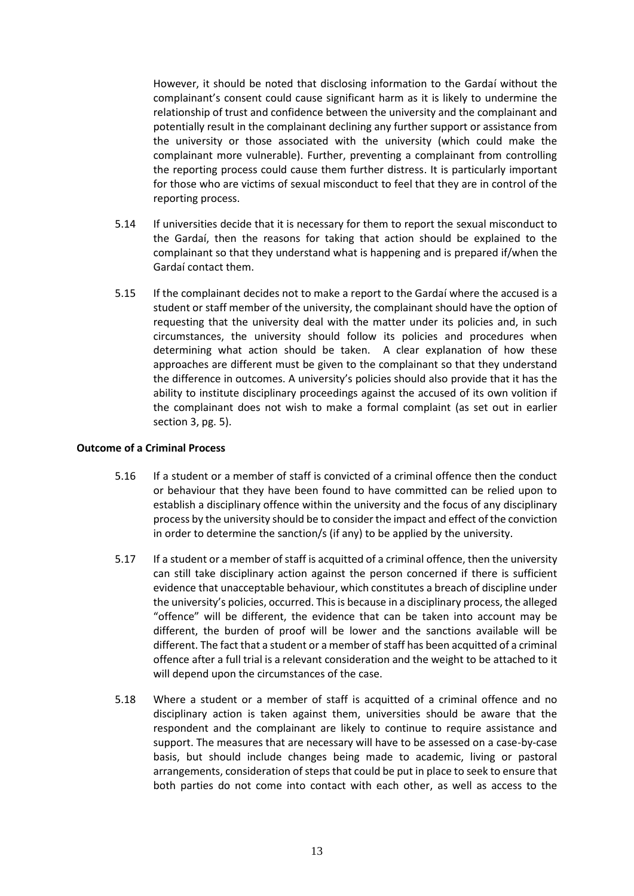However, it should be noted that disclosing information to the Gardaí without the complainant's consent could cause significant harm as it is likely to undermine the relationship of trust and confidence between the university and the complainant and potentially result in the complainant declining any further support or assistance from the university or those associated with the university (which could make the complainant more vulnerable). Further, preventing a complainant from controlling the reporting process could cause them further distress. It is particularly important for those who are victims of sexual misconduct to feel that they are in control of the reporting process.

- 5.14 If universities decide that it is necessary for them to report the sexual misconduct to the Gardaí, then the reasons for taking that action should be explained to the complainant so that they understand what is happening and is prepared if/when the Gardaí contact them.
- 5.15 If the complainant decides not to make a report to the Gardaí where the accused is a student or staff member of the university, the complainant should have the option of requesting that the university deal with the matter under its policies and, in such circumstances, the university should follow its policies and procedures when determining what action should be taken. A clear explanation of how these approaches are different must be given to the complainant so that they understand the difference in outcomes. A university's policies should also provide that it has the ability to institute disciplinary proceedings against the accused of its own volition if the complainant does not wish to make a formal complaint (as set out in earlier section 3, pg. 5).

#### **Outcome of a Criminal Process**

- 5.16 If a student or a member of staff is convicted of a criminal offence then the conduct or behaviour that they have been found to have committed can be relied upon to establish a disciplinary offence within the university and the focus of any disciplinary process by the university should be to consider the impact and effect of the conviction in order to determine the sanction/s (if any) to be applied by the university.
- 5.17 If a student or a member of staff is acquitted of a criminal offence, then the university can still take disciplinary action against the person concerned if there is sufficient evidence that unacceptable behaviour, which constitutes a breach of discipline under the university's policies, occurred. This is because in a disciplinary process, the alleged "offence" will be different, the evidence that can be taken into account may be different, the burden of proof will be lower and the sanctions available will be different. The fact that a student or a member of staff has been acquitted of a criminal offence after a full trial is a relevant consideration and the weight to be attached to it will depend upon the circumstances of the case.
- 5.18 Where a student or a member of staff is acquitted of a criminal offence and no disciplinary action is taken against them, universities should be aware that the respondent and the complainant are likely to continue to require assistance and support. The measures that are necessary will have to be assessed on a case-by-case basis, but should include changes being made to academic, living or pastoral arrangements, consideration of steps that could be put in place to seek to ensure that both parties do not come into contact with each other, as well as access to the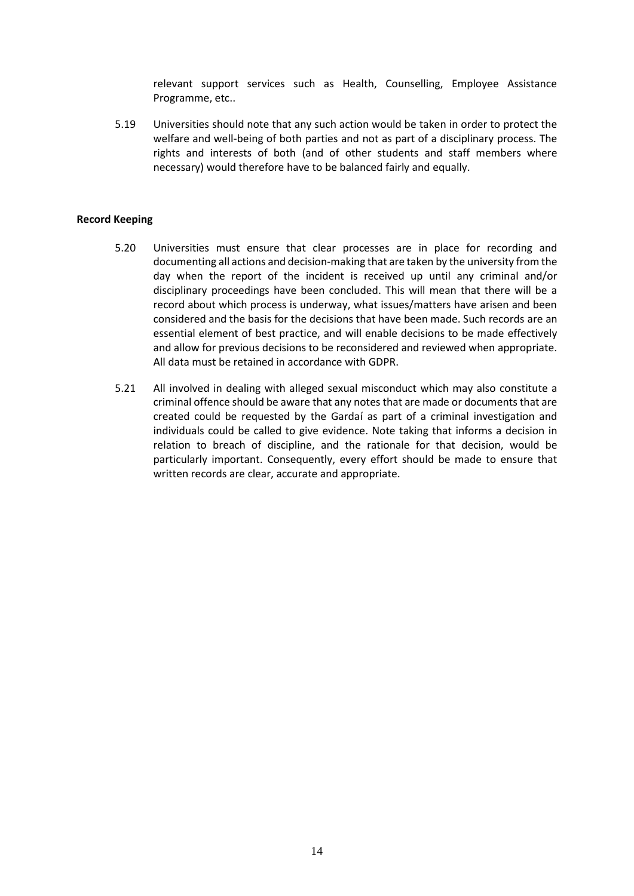relevant support services such as Health, Counselling, Employee Assistance Programme, etc..

5.19 Universities should note that any such action would be taken in order to protect the welfare and well-being of both parties and not as part of a disciplinary process. The rights and interests of both (and of other students and staff members where necessary) would therefore have to be balanced fairly and equally.

#### **Record Keeping**

- 5.20 Universities must ensure that clear processes are in place for recording and documenting all actions and decision-making that are taken by the university from the day when the report of the incident is received up until any criminal and/or disciplinary proceedings have been concluded. This will mean that there will be a record about which process is underway, what issues/matters have arisen and been considered and the basis for the decisions that have been made. Such records are an essential element of best practice, and will enable decisions to be made effectively and allow for previous decisions to be reconsidered and reviewed when appropriate. All data must be retained in accordance with GDPR.
- 5.21 All involved in dealing with alleged sexual misconduct which may also constitute a criminal offence should be aware that any notes that are made or documents that are created could be requested by the Gardaí as part of a criminal investigation and individuals could be called to give evidence. Note taking that informs a decision in relation to breach of discipline, and the rationale for that decision, would be particularly important. Consequently, every effort should be made to ensure that written records are clear, accurate and appropriate.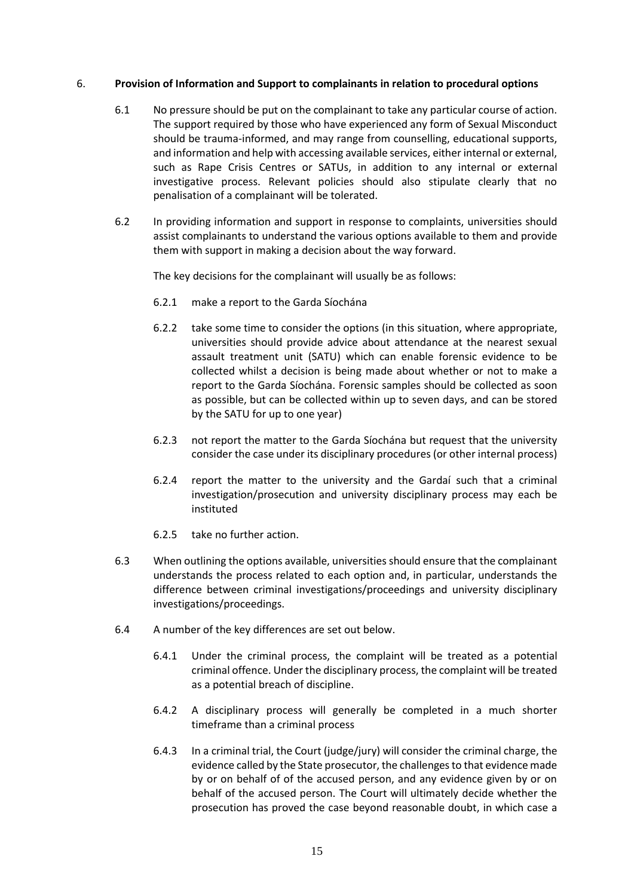#### 6. **Provision of Information and Support to complainants in relation to procedural options**

- 6.1 No pressure should be put on the complainant to take any particular course of action. The support required by those who have experienced any form of Sexual Misconduct should be trauma-informed, and may range from counselling, educational supports, and information and help with accessing available services, either internal or external, such as Rape Crisis Centres or SATUs, in addition to any internal or external investigative process. Relevant policies should also stipulate clearly that no penalisation of a complainant will be tolerated.
- 6.2 In providing information and support in response to complaints, universities should assist complainants to understand the various options available to them and provide them with support in making a decision about the way forward.

The key decisions for the complainant will usually be as follows:

- 6.2.1 make a report to the Garda Síochána
- 6.2.2 take some time to consider the options (in this situation, where appropriate, universities should provide advice about attendance at the nearest sexual assault treatment unit (SATU) which can enable forensic evidence to be collected whilst a decision is being made about whether or not to make a report to the Garda Síochána. Forensic samples should be collected as soon as possible, but can be collected within up to seven days, and can be stored by the SATU for up to one year)
- 6.2.3 not report the matter to the Garda Síochána but request that the university consider the case under its disciplinary procedures (or other internal process)
- 6.2.4 report the matter to the university and the Gardaí such that a criminal investigation/prosecution and university disciplinary process may each be instituted
- 6.2.5 take no further action.
- 6.3 When outlining the options available, universities should ensure that the complainant understands the process related to each option and, in particular, understands the difference between criminal investigations/proceedings and university disciplinary investigations/proceedings.
- 6.4 A number of the key differences are set out below.
	- 6.4.1 Under the criminal process, the complaint will be treated as a potential criminal offence. Under the disciplinary process, the complaint will be treated as a potential breach of discipline.
	- 6.4.2 A disciplinary process will generally be completed in a much shorter timeframe than a criminal process
	- 6.4.3 In a criminal trial, the Court (judge/jury) will consider the criminal charge, the evidence called by the State prosecutor, the challenges to that evidence made by or on behalf of of the accused person, and any evidence given by or on behalf of the accused person. The Court will ultimately decide whether the prosecution has proved the case beyond reasonable doubt, in which case a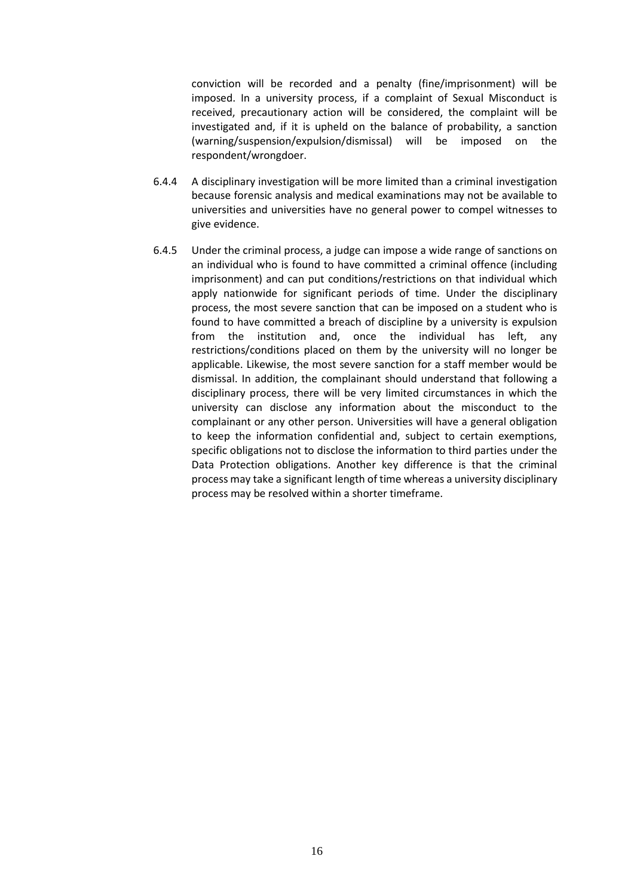conviction will be recorded and a penalty (fine/imprisonment) will be imposed. In a university process, if a complaint of Sexual Misconduct is received, precautionary action will be considered, the complaint will be investigated and, if it is upheld on the balance of probability, a sanction (warning/suspension/expulsion/dismissal) will be imposed on the respondent/wrongdoer.

- 6.4.4 A disciplinary investigation will be more limited than a criminal investigation because forensic analysis and medical examinations may not be available to universities and universities have no general power to compel witnesses to give evidence.
- 6.4.5 Under the criminal process, a judge can impose a wide range of sanctions on an individual who is found to have committed a criminal offence (including imprisonment) and can put conditions/restrictions on that individual which apply nationwide for significant periods of time. Under the disciplinary process, the most severe sanction that can be imposed on a student who is found to have committed a breach of discipline by a university is expulsion from the institution and, once the individual has left, any restrictions/conditions placed on them by the university will no longer be applicable. Likewise, the most severe sanction for a staff member would be dismissal. In addition, the complainant should understand that following a disciplinary process, there will be very limited circumstances in which the university can disclose any information about the misconduct to the complainant or any other person. Universities will have a general obligation to keep the information confidential and, subject to certain exemptions, specific obligations not to disclose the information to third parties under the Data Protection obligations. Another key difference is that the criminal process may take a significant length of time whereas a university disciplinary process may be resolved within a shorter timeframe.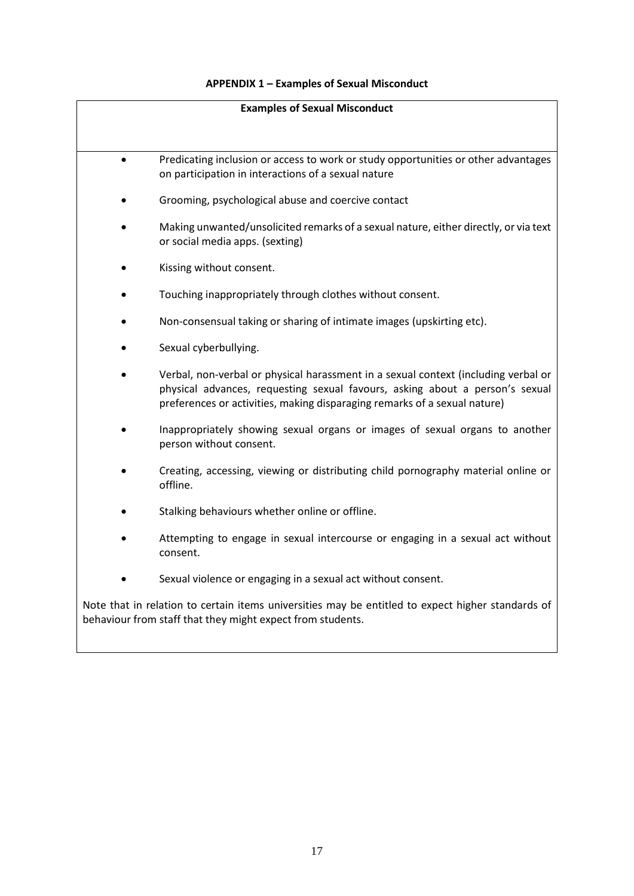### **APPENDIX 1 – Examples of Sexual Misconduct**

| <b>Examples of Sexual Misconduct</b>                                                                                                                            |                                                                                                                                                                                                                                                 |  |  |  |
|-----------------------------------------------------------------------------------------------------------------------------------------------------------------|-------------------------------------------------------------------------------------------------------------------------------------------------------------------------------------------------------------------------------------------------|--|--|--|
|                                                                                                                                                                 |                                                                                                                                                                                                                                                 |  |  |  |
|                                                                                                                                                                 | Predicating inclusion or access to work or study opportunities or other advantages<br>on participation in interactions of a sexual nature                                                                                                       |  |  |  |
|                                                                                                                                                                 | Grooming, psychological abuse and coercive contact                                                                                                                                                                                              |  |  |  |
|                                                                                                                                                                 | Making unwanted/unsolicited remarks of a sexual nature, either directly, or via text<br>or social media apps. (sexting)                                                                                                                         |  |  |  |
|                                                                                                                                                                 | Kissing without consent.                                                                                                                                                                                                                        |  |  |  |
|                                                                                                                                                                 | Touching inappropriately through clothes without consent.                                                                                                                                                                                       |  |  |  |
|                                                                                                                                                                 | Non-consensual taking or sharing of intimate images (upskirting etc).                                                                                                                                                                           |  |  |  |
|                                                                                                                                                                 | Sexual cyberbullying.                                                                                                                                                                                                                           |  |  |  |
|                                                                                                                                                                 | Verbal, non-verbal or physical harassment in a sexual context (including verbal or<br>physical advances, requesting sexual favours, asking about a person's sexual<br>preferences or activities, making disparaging remarks of a sexual nature) |  |  |  |
|                                                                                                                                                                 | Inappropriately showing sexual organs or images of sexual organs to another<br>person without consent.                                                                                                                                          |  |  |  |
|                                                                                                                                                                 | Creating, accessing, viewing or distributing child pornography material online or<br>offline.                                                                                                                                                   |  |  |  |
|                                                                                                                                                                 | Stalking behaviours whether online or offline.                                                                                                                                                                                                  |  |  |  |
|                                                                                                                                                                 | Attempting to engage in sexual intercourse or engaging in a sexual act without<br>consent.                                                                                                                                                      |  |  |  |
|                                                                                                                                                                 | Sexual violence or engaging in a sexual act without consent.                                                                                                                                                                                    |  |  |  |
| Note that in relation to certain items universities may be entitled to expect higher standards of<br>behaviour from staff that they might expect from students. |                                                                                                                                                                                                                                                 |  |  |  |